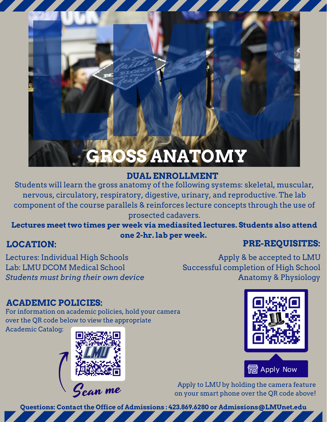# **GROSS ANATOMY**

### **DUAL ENROLLMENT**

Students will learn the gross anatomy of the following systems: skeletal, muscular, nervous, circulatory, respiratory, digestive, urinary, and reproductive. The lab component of the course parallels & reinforces lecture concepts through the use of prosected cadavers.

**Lectures meet two times per week via mediasited lectures. Students also attend one 2-hr. lab per week.**

### **LOCATION:**

## **PRE-REQUISITES:**

Lectures: Individual High Schools Lab: LMU DCOM Medical School *Students must bring their own device*

Apply & be accepted to LMU Successful completion of High School Anatomy & Physiology

## **ACADEMIC POLICIES:**

For information on academic policies, hold your camera over the QR code below to view the appropriate

Academic Catalog:







Apply to LMU by holding the camera feature on your smart phone over the QR code above!

**Questions: Contact the Office of Admissions : 423.869.6280 or Admissions@LMUnet.edu**